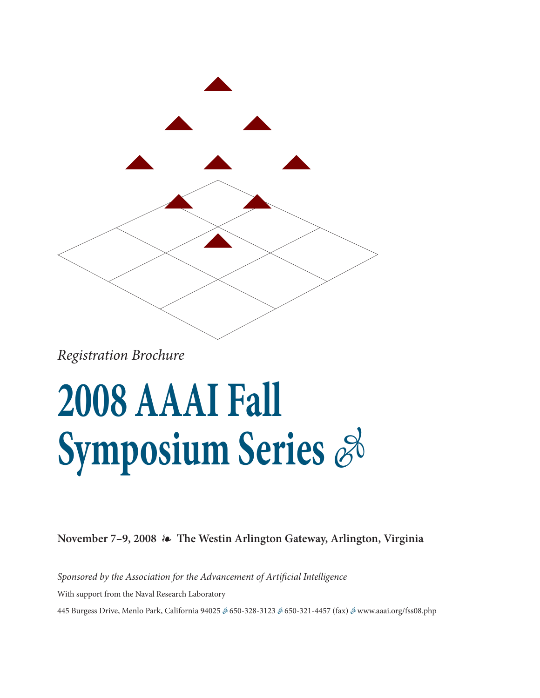

*Registration Brochure*

## **2008 AAAI Fall Symposium Series**  $\mathscr{E}$

**November 7–9, 2008 The Westin Arlington Gateway, Arlington, Virginia**

*Sponsored by the Association for the Advancement of Artificial Intelligence* With support from the Naval Research Laboratory 445 Burgess Drive, Menlo Park, California 94025 & 650-328-3123 & 650-321-4457 (fax) & www.aaai.org/fss08.php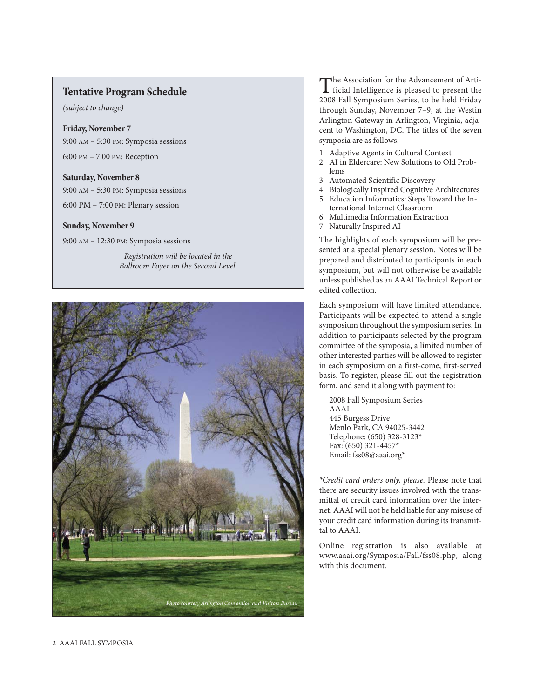## **Tentative Program Schedule**

*(subject to change)*

**Friday, November 7** 9:00 AM – 5:30 PM: Symposia sessions 6:00 PM – 7:00 PM: Reception

**Saturday, November 8** 9:00 AM – 5:30 PM: Symposia sessions 6:00 PM – 7:00 PM: Plenary session

## **Sunday, November 9**

9:00 AM – 12:30 PM: Symposia sessions

*Registration will be located in the Ballroom Foyer on the Second Level.*



The Association for the Advancement of Arti-<br>ficial Intelligence is pleased to present the<br>cases E ii s 2008 Fall Symposium Series, to be held Friday through Sunday, November 7–9, at the Westin Arlington Gateway in Arlington, Virginia, adjacent to Washington, DC. The titles of the seven symposia are as follows:

- 1 Adaptive Agents in Cultural Context
- 2 AI in Eldercare: New Solutions to Old Problems
- 3 Automated Scientific Discovery
- 4 Biologically Inspired Cognitive Architectures
- 5 Education Informatics: Steps Toward the International Internet Classroom
- 6 Multimedia Information Extraction
- 7 Naturally Inspired AI

The highlights of each symposium will be presented at a special plenary session. Notes will be prepared and distributed to participants in each symposium, but will not otherwise be available unless published as an AAAI Technical Report or edited collection.

Each symposium will have limited attendance. Participants will be expected to attend a single symposium throughout the symposium series. In addition to participants selected by the program committee of the symposia, a limited number of other interested parties will be allowed to register in each symposium on a first-come, first-served basis. To register, please fill out the registration form, and send it along with payment to:

2008 Fall Symposium Series AAAI 445 Burgess Drive Menlo Park, CA 94025-3442 Telephone: (650) 328-3123\* Fax: (650) 321-4457\* Email: fss08@aaai.org\*

*\*Credit card orders only, please.* Please note that there are security issues involved with the transmittal of credit card information over the internet. AAAI will not be held liable for any misuse of your credit card information during its transmittal to AAAI.

Online registration is also available at www.aaai.org/Symposia/Fall/fss08.php, along with this document.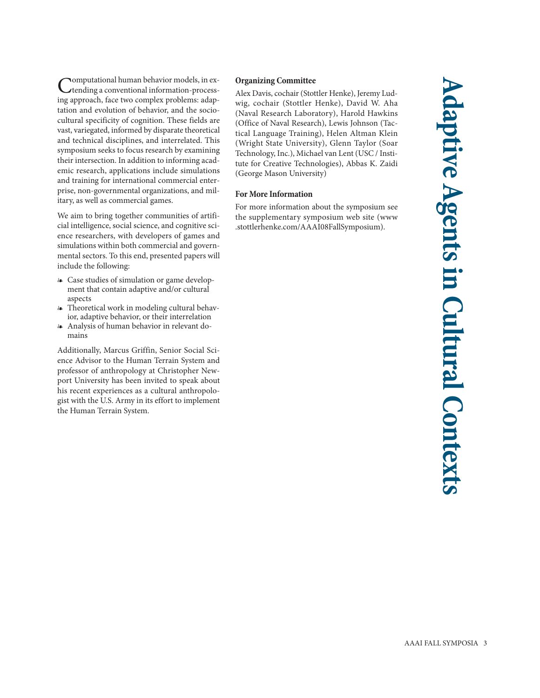Computational human behavior models, in ex-tending a conventional information-processing approach, face two complex problems: adaptation and evolution of behavior, and the sociocultural specificity of cognition. These fields are vast, variegated, informed by disparate theoretical and technical disciplines, and interrelated. This symposium seeks to focus research by examining their intersection. In addition to informing academic research, applications include simulations and training for international commercial enterprise, non-governmental organizations, and military, as well as commercial games.

We aim to bring together communities of artificial intelligence, social science, and cognitive science researchers, with developers of games and simulations within both commercial and governmental sectors. To this end, presented papers will include the following:

- Case studies of simulation or game development that contain adaptive and/or cultural aspects
- Theoretical work in modeling cultural behavior, adaptive behavior, or their interrelation
- Analysis of human behavior in relevant domains

Additionally, Marcus Griffin, Senior Social Science Advisor to the Human Terrain System and professor of anthropology at Christopher Newport University has been invited to speak about his recent experiences as a cultural anthropologist with the U.S. Army in its effort to implement the Human Terrain System.

## **Organizing Committee**

Alex Davis, cochair (Stottler Henke), Jeremy Ludwig, cochair (Stottler Henke), David W. Aha (Naval Research Laboratory), Harold Hawkins (Office of Naval Research), Lewis Johnson (Tactical Language Training), Helen Altman Klein (Wright State University), Glenn Taylor (Soar Technology, Inc.), Michael van Lent (USC / Institute for Creative Technologies), Abbas K. Zaidi (George Mason University)

## **For More Information**

For more information about the symposium see the supplementary symposium web site (www .stottlerhenke.com/AAAI08FallSymposium).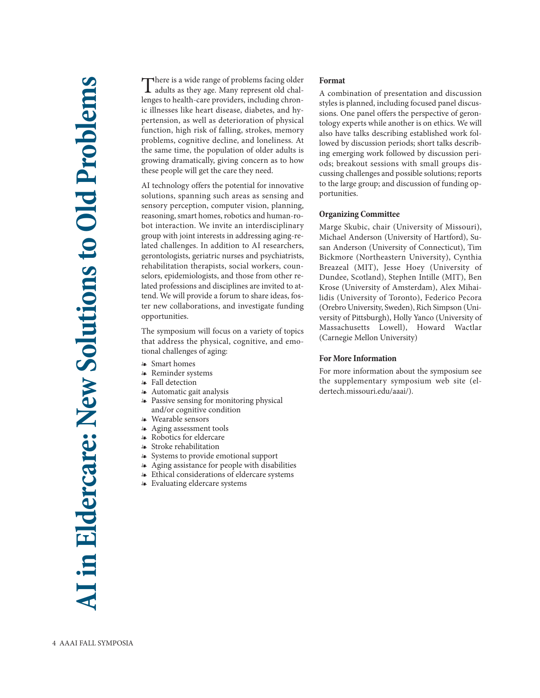There is a wide range of problems facing older<br>adults as they age. Many represent old challenges to health-care providers, including chronic illnesses like heart disease, diabetes, and hypertension, as well as deterioration of physical function, high risk of falling, strokes, memory problems, cognitive decline, and loneliness. At the same time, the population of older adults is growing dramatically, giving concern as to how these people will get the care they need.

AI technology offers the potential for innovative solutions, spanning such areas as sensing and sensory perception, computer vision, planning, reasoning, smart homes, robotics and human-robot interaction. We invite an interdisciplinary group with joint interests in addressing aging-related challenges. In addition to AI researchers, gerontologists, geriatric nurses and psychiatrists, rehabilitation therapists, social workers, counselors, epidemiologists, and those from other related professions and disciplines are invited to attend. We will provide a forum to share ideas, foster new collaborations, and investigate funding opportunities.

The symposium will focus on a variety of topics that address the physical, cognitive, and emotional challenges of aging:

- Smart homes
- Reminder systems
- Fall detection
- Automatic gait analysis
- Passive sensing for monitoring physical and/or cognitive condition
- Wearable sensors
- Aging assessment tools
- Robotics for eldercare
- Stroke rehabilitation
- Systems to provide emotional support
- Aging assistance for people with disabilities
- Ethical considerations of eldercare systems
- Evaluating eldercare systems

## **Format**

A combination of presentation and discussion styles is planned, including focused panel discussions. One panel offers the perspective of gerontology experts while another is on ethics. We will also have talks describing established work followed by discussion periods; short talks describing emerging work followed by discussion periods; breakout sessions with small groups discussing challenges and possible solutions; reports to the large group; and discussion of funding opportunities.

## **Organizing Committee**

Marge Skubic, chair (University of Missouri), Michael Anderson (University of Hartford), Susan Anderson (University of Connecticut), Tim Bickmore (Northeastern University), Cynthia Breazeal (MIT), Jesse Hoey (University of Dundee, Scotland), Stephen Intille (MIT), Ben Krose (University of Amsterdam), Alex Mihailidis (University of Toronto), Federico Pecora (Orebro University, Sweden), Rich Simpson (University of Pittsburgh), Holly Yanco (University of Massachusetts Lowell), Howard Wactlar (Carnegie Mellon University)

## **For More Information**

For more information about the symposium see the supplementary symposium web site (eldertech.missouri.edu/aaai/).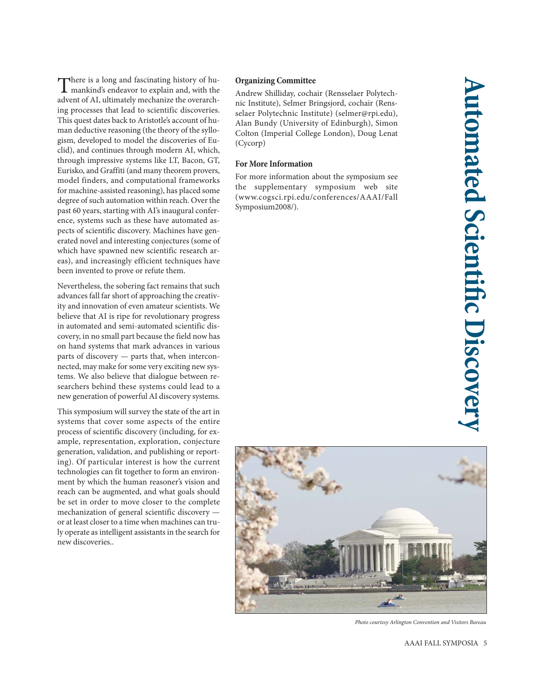There is a long and fascinating history of hu-mankind's endeavor to explain and, with the advent of AI, ultimately mechanize the overarching processes that lead to scientific discoveries. This quest dates back to Aristotle's account of human deductive reasoning (the theory of the syllogism, developed to model the discoveries of Euclid), and continues through modern AI, which, through impressive systems like LT, Bacon, GT, Eurisko, and Graffiti (and many theorem provers, model finders, and computational frameworks for machine-assisted reasoning), has placed some degree of such automation within reach. Over the past 60 years, starting with AI's inaugural conference, systems such as these have automated aspects of scientific discovery. Machines have generated novel and interesting conjectures (some of which have spawned new scientific research areas), and increasingly efficient techniques have been invented to prove or refute them.

Nevertheless, the sobering fact remains that such advances fall far short of approaching the creativity and innovation of even amateur scientists. We believe that AI is ripe for revolutionary progress in automated and semi-automated scientific discovery, in no small part because the field now has on hand systems that mark advances in various parts of discovery — parts that, when interconnected, may make for some very exciting new systems. We also believe that dialogue between researchers behind these systems could lead to a new generation of powerful AI discovery systems.

This symposium will survey the state of the art in systems that cover some aspects of the entire process of scientific discovery (including, for example, representation, exploration, conjecture generation, validation, and publishing or reporting). Of particular interest is how the current technologies can fit together to form an environment by which the human reasoner's vision and reach can be augmented, and what goals should be set in order to move closer to the complete mechanization of general scientific discovery or at least closer to a time when machines can truly operate as intelligent assistants in the search for new discoveries..

## **Organizing Committee**

Andrew Shilliday, cochair (Rensselaer Polytechnic Institute), Selmer Bringsjord, cochair (Rensselaer Polytechnic Institute) (selmer@rpi.edu), Alan Bundy (University of Edinburgh), Simon Colton (Imperial College London), Doug Lenat (Cycorp)

## **For More Information**

For more information about the symposium see the supplementary symposium web site (www.cogsci.rpi.edu/conferences/AAAI/Fall Symposium2008/).



*Photo courtesy Arlington Convention and Visitors Bureau*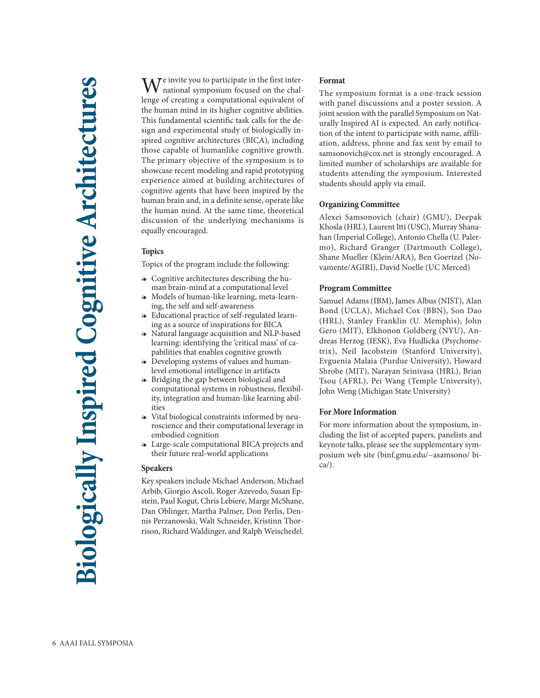We invite you to participate in the first inter-national symposium focused on the challenge of creating a computational equivalent of the human mind in its higher cognitive abilities. This fundamental scientific task calls for the design and experimental study of biologically inspired cognitive architectures (BICA), including those capable of humanlike cognitive growth. The primary objective of the symposium is to showcase recent modeling and rapid prototyping experience aimed at building architectures of cognitive agents that have been inspired by the human brain and, in a definite sense, operate like the human mind. At the same time, theoretical discussion of the underlying mechanisms is equally encouraged.

## **Topics**

Topics of the program include the following:

- Cognitive architectures describing the human brain-mind at a computational level
- Models of human-like learning, meta-learning, the self and self-awareness
- Educational practice of self-regulated learning as a source of inspirations for BICA
- Natural language acquisition and NLP-based learning: identifying the 'critical mass' of capabilities that enables cognitive growth
- Developing systems of values and humanlevel emotional intelligence in artifacts
- Bridging the gap between biological and computational systems in robustness, flexibility, integration and human-like learning abilities
- Vital biological constraints informed by neuroscience and their computational leverage in embodied cognition
- Large-scale computational BICA projects and their future real-world applications

## **Speakers**

Key speakers include Michael Anderson, Michael Arbib, Giorgio Ascoli, Roger Azevedo, Susan Epstein, Paul Kogut, Chris Lebiere, Marge McShane, Dan Oblinger, Martha Palmer, Don Perlis, Dennis Perzanowski, Walt Schneider, Kristinn Thorrison, Richard Waldinger, and Ralph Weischedel.

## **Format**

The symposium format is a one-track session with panel discussions and a poster session. A joint session with the parallel Symposium on Naturally Inspired AI is expected. An early notification of the intent to participate with name, affiliation, address, phone and fax sent by email to samsonovich@cox.net is strongly encouraged. A limited number of scholarships are available for students attending the symposium. Interested students should apply via email.

## **Organizing Committee**

Alexei Samsonovich (chair) (GMU), Deepak Khosla (HRL), Laurent Itti (USC), Murray Shanahan (Imperial College), Antonio Chella (U. Palermo), Richard Granger (Dartmouth College), Shane Mueller (Klein/ARA), Ben Goertzel (Novamente/AGIRI), David Noelle (UC Merced)

## **Program Committee**

Samuel Adams (IBM), James Albus (NIST), Alan Bond (UCLA), Michael Cox (BBN), Son Dao (HRL), Stanley Franklin (U. Memphis), John Gero (MIT), Elkhonon Goldberg (NYU), Andreas Herzog (IESK), Eva Hudlicka (Psychometrix), Neil Jacobstein (Stanford University), Evguenia Malaia (Purdue University), Howard Shrobe (MIT), Narayan Srinivasa (HRL), Brian Tsou (AFRL), Pei Wang (Temple University), John Weng (Michigan State University)

## **For More Information**

For more information about the symposium, including the list of accepted papers, panelists and keynote talks, please see the supplementary symposium web site (binf.gmu.edu/~asamsono/ bica/).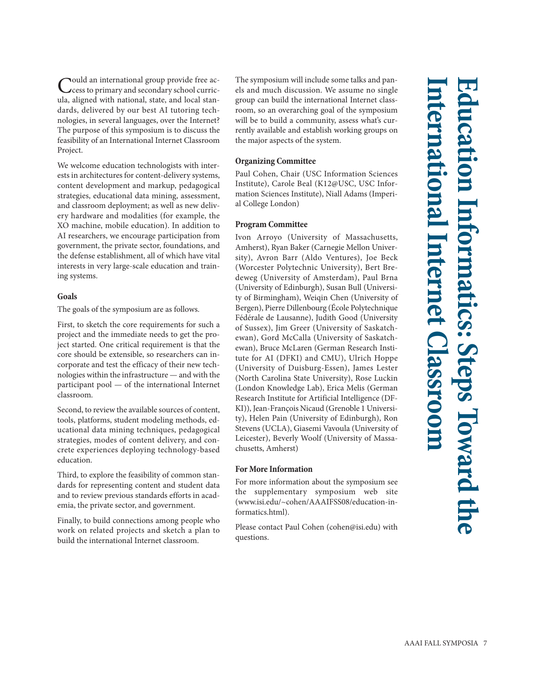Could an international group provide free ac-cess to primary and secondary school curricula, aligned with national, state, and local standards, delivered by our best AI tutoring technologies, in several languages, over the Internet? The purpose of this symposium is to discuss the feasibility of an International Internet Classroom Project.

We welcome education technologists with interests in architectures for content-delivery systems, content development and markup, pedagogical strategies, educational data mining, assessment, and classroom deployment; as well as new delivery hardware and modalities (for example, the XO machine, mobile education). In addition to AI researchers, we encourage participation from government, the private sector, foundations, and the defense establishment, all of which have vital interests in very large-scale education and training systems.

## **Goals**

The goals of the symposium are as follows.

First, to sketch the core requirements for such a project and the immediate needs to get the project started. One critical requirement is that the core should be extensible, so researchers can incorporate and test the efficacy of their new technologies within the infrastructure — and with the participant pool — of the international Internet classroom.

Second, to review the available sources of content, tools, platforms, student modeling methods, educational data mining techniques, pedagogical strategies, modes of content delivery, and concrete experiences deploying technology-based education.

Third, to explore the feasibility of common standards for representing content and student data and to review previous standards efforts in academia, the private sector, and government.

Finally, to build connections among people who work on related projects and sketch a plan to build the international Internet classroom.

The symposium will include some talks and panels and much discussion. We assume no single group can build the international Internet classroom, so an overarching goal of the symposium will be to build a community, assess what's currently available and establish working groups on the major aspects of the system.

## **Organizing Committee**

Paul Cohen, Chair (USC Information Sciences Institute), Carole Beal (K12@USC, USC Information Sciences Institute), Niall Adams (Imperial College London)

## **Program Committee**

Ivon Arroyo (University of Massachusetts, Amherst), Ryan Baker (Carnegie Mellon University), Avron Barr (Aldo Ventures), Joe Beck (Worcester Polytechnic University), Bert Bredeweg (University of Amsterdam), Paul Brna (University of Edinburgh), Susan Bull (University of Birmingham), Weiqin Chen (University of Bergen), Pierre Dillenbourg (École Polytechnique Fédérale de Lausanne), Judith Good (University of Sussex), Jim Greer (University of Saskatchewan), Gord McCalla (University of Saskatchewan), Bruce McLaren (German Research Institute for AI (DFKI) and CMU), Ulrich Hoppe (University of Duisburg-Essen), James Lester (North Carolina State University), Rose Luckin (London Knowledge Lab), Erica Melis (German Research Institute for Artificial Intelligence (DF-KI)), Jean-François Nicaud (Grenoble 1 University), Helen Pain (University of Edinburgh), Ron Stevens (UCLA), Giasemi Vavoula (University of Leicester), Beverly Woolf (University of Massachusetts, Amherst)

## **For More Information**

For more information about the symposium see the supplementary symposium web site (www.isi.edu/~cohen/AAAIFSS08/education-informatics.html).

Please contact Paul Cohen (cohen@isi.edu) with questions.

# **International Internet Classroom Education Informatics: Steps Toward the** natics: Steps Toward the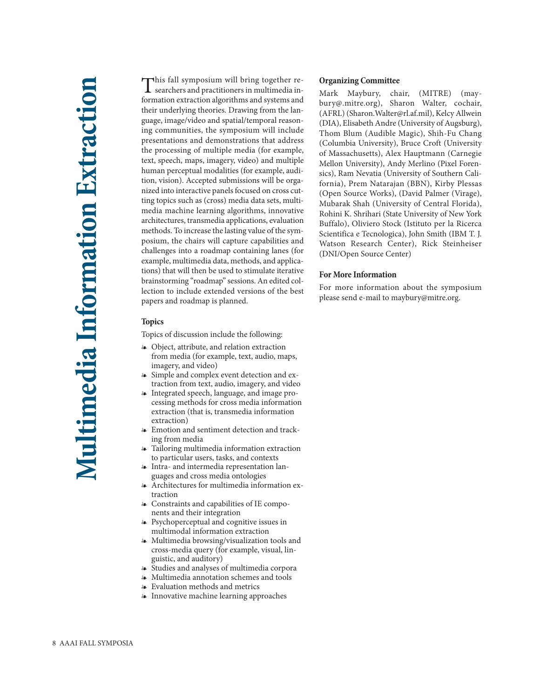This fall symposium will bring together re-searchers and practitioners in multimedia information extraction algorithms and systems and their underlying theories. Drawing from the language, image/video and spatial/temporal reasoning communities, the symposium will include presentations and demonstrations that address the processing of multiple media (for example, text, speech, maps, imagery, video) and multiple human perceptual modalities (for example, audition, vision). Accepted submissions will be organized into interactive panels focused on cross cutting topics such as (cross) media data sets, multimedia machine learning algorithms, innovative architectures, transmedia applications, evaluation methods. To increase the lasting value of the symposium, the chairs will capture capabilities and challenges into a roadmap containing lanes (for example, multimedia data, methods, and applications) that will then be used to stimulate iterative brainstorming "roadmap" sessions. An edited collection to include extended versions of the best papers and roadmap is planned.

## **Topics**

Topics of discussion include the following:

- Object, attribute, and relation extraction from media (for example, text, audio, maps, imagery, and video)
- Simple and complex event detection and extraction from text, audio, imagery, and video
- Integrated speech, language, and image processing methods for cross media information extraction (that is, transmedia information extraction)
- Emotion and sentiment detection and tracking from media
- Tailoring multimedia information extraction to particular users, tasks, and contexts
- Intra- and intermedia representation languages and cross media ontologies
- Architectures for multimedia information extraction
- Constraints and capabilities of IE components and their integration
- Psychoperceptual and cognitive issues in multimodal information extraction
- Multimedia browsing/visualization tools and cross-media query (for example, visual, linguistic, and auditory)
- Studies and analyses of multimedia corpora
- Multimedia annotation schemes and tools
- Evaluation methods and metrics
- Innovative machine learning approaches

## **Organizing Committee**

Mark Maybury, chair, (MITRE) (maybury@.mitre.org), Sharon Walter, cochair, (AFRL) (Sharon.Walter@rl.af.mil), Kelcy Allwein (DIA), Elisabeth Andre (University of Augsburg), Thom Blum (Audible Magic), Shih-Fu Chang (Columbia University), Bruce Croft (University of Massachusetts), Alex Hauptmann (Carnegie Mellon University), Andy Merlino (Pixel Forensics), Ram Nevatia (University of Southern California), Prem Natarajan (BBN), Kirby Plessas (Open Source Works), (David Palmer (Virage), Mubarak Shah (University of Central Florida), Rohini K. Shrihari (State University of New York Buffalo), Oliviero Stock (Istituto per la Ricerca Scientifica e Tecnologica), John Smith (IBM T. J. Watson Research Center), Rick Steinheiser (DNI/Open Source Center)

## **For More Information**

For more information about the symposium please send e-mail to maybury@mitre.org.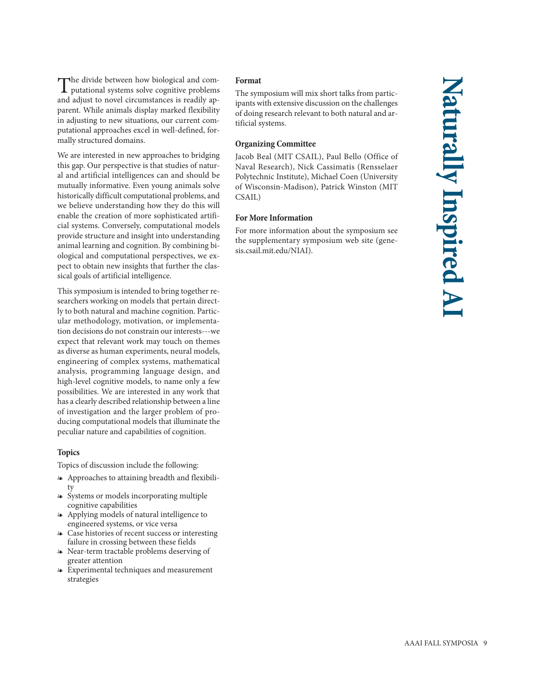The divide between how biological and com-putational systems solve cognitive problems and adjust to novel circumstances is readily apparent. While animals display marked flexibility in adjusting to new situations, our current computational approaches excel in well-defined, formally structured domains.

We are interested in new approaches to bridging this gap. Our perspective is that studies of natural and artificial intelligences can and should be mutually informative. Even young animals solve historically difficult computational problems, and we believe understanding how they do this will enable the creation of more sophisticated artificial systems. Conversely, computational models provide structure and insight into understanding animal learning and cognition. By combining biological and computational perspectives, we expect to obtain new insights that further the classical goals of artificial intelligence.

This symposium is intended to bring together researchers working on models that pertain directly to both natural and machine cognition. Particular methodology, motivation, or implementation decisions do not constrain our interests---we expect that relevant work may touch on themes as diverse as human experiments, neural models, engineering of complex systems, mathematical analysis, programming language design, and high-level cognitive models, to name only a few possibilities. We are interested in any work that has a clearly described relationship between a line of investigation and the larger problem of producing computational models that illuminate the peculiar nature and capabilities of cognition.

## **Topics**

Topics of discussion include the following:

- Approaches to attaining breadth and flexibility
- Systems or models incorporating multiple cognitive capabilities
- Applying models of natural intelligence to engineered systems, or vice versa
- Case histories of recent success or interesting failure in crossing between these fields
- Near-term tractable problems deserving of greater attention
- Experimental techniques and measurement strategies

## **Format**

The symposium will mix short talks from participants with extensive discussion on the challenges of doing research relevant to both natural and artificial systems.

## **Organizing Committee**

Jacob Beal (MIT CSAIL), Paul Bello (Office of Naval Research), Nick Cassimatis (Rensselaer Polytechnic Institute), Michael Coen (University of Wisconsin-Madison), Patrick Winston (MIT CSAIL)

## **For More Information**

For more information about the symposium see the supplementary symposium web site (genesis.csail.mit.edu/NIAI).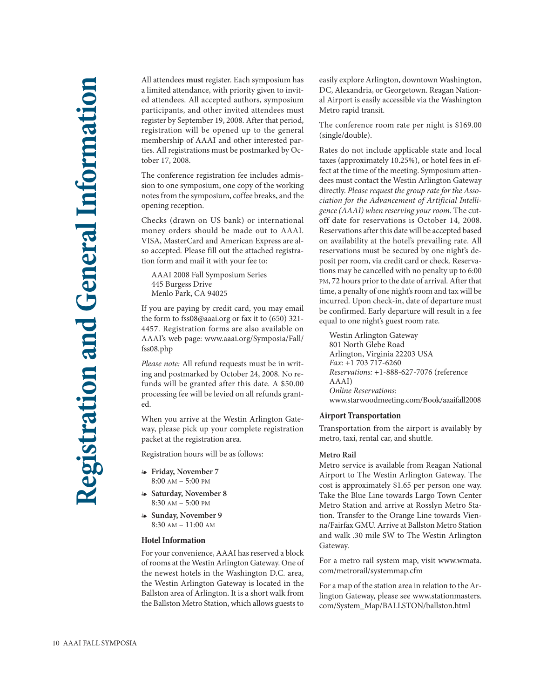All attendees **must** register. Each symposium has a limited attendance, with priority given to invited attendees. All accepted authors, symposium participants, and other invited attendees must register by September 19, 2008. After that period, registration will be opened up to the general membership of AAAI and other interested parties. All registrations must be postmarked by October 17, 2008.

The conference registration fee includes admission to one symposium, one copy of the working notes from the symposium, coffee breaks, and the opening reception.

Checks (drawn on US bank) or international money orders should be made out to AAAI. VISA, MasterCard and American Express are also accepted. Please fill out the attached registration form and mail it with your fee to:

AAAI 2008 Fall Symposium Series 445 Burgess Drive Menlo Park, CA 94025

If you are paying by credit card, you may email the form to fss08@aaai.org or fax it to (650) 321- 4457. Registration forms are also available on AAAI's web page: www.aaai.org/Symposia/Fall/ fss08.php

*Please note:* All refund requests must be in writing and postmarked by October 24, 2008. No refunds will be granted after this date. A \$50.00 processing fee will be levied on all refunds granted.

When you arrive at the Westin Arlington Gateway, please pick up your complete registration packet at the registration area.

Registration hours will be as follows:

- **Friday, November 7** 8:00 AM – 5:00 PM
- **Saturday, November 8** 8:30 AM – 5:00 PM
- **Sunday, November 9** 8:30 AM – 11:00 AM

## **Hotel Information**

For your convenience, AAAI has reserved a block of rooms at the Westin Arlington Gateway. One of the newest hotels in the Washington D.C. area, the Westin Arlington Gateway is located in the Ballston area of Arlington. It is a short walk from the Ballston Metro Station, which allows guests to

easily explore Arlington, downtown Washington, DC, Alexandria, or Georgetown. Reagan National Airport is easily accessible via the Washington Metro rapid transit.

The conference room rate per night is \$169.00 (single/double).

Rates do not include applicable state and local taxes (approximately 10.25%), or hotel fees in effect at the time of the meeting. Symposium attendees must contact the Westin Arlington Gateway directly. *Please request the group rate for the Association for the Advancement of Artificial Intelligence (AAAI) when reserving your room.* The cutoff date for reservations is October 14, 2008. Reservations after this date will be accepted based on availability at the hotel's prevailing rate. All reservations must be secured by one night's deposit per room, via credit card or check. Reservations may be cancelled with no penalty up to 6:00 PM, 72 hours prior to the date of arrival. After that time, a penalty of one night's room and tax will be incurred. Upon check-in, date of departure must be confirmed. Early departure will result in a fee equal to one night's guest room rate.

Westin Arlington Gateway 801 North Glebe Road Arlington, Virginia 22203 USA *Fax:* +1 703 717-6260 *Reservations:* +1-888-627-7076 (reference AAAI) *Online Reservations:* www.starwoodmeeting.com/Book/aaaifall2008

## **Airport Transportation**

Transportation from the airport is availably by metro, taxi, rental car, and shuttle.

## **Metro Rail**

Metro service is available from Reagan National Airport to The Westin Arlington Gateway. The cost is approximately \$1.65 per person one way. Take the Blue Line towards Largo Town Center Metro Station and arrive at Rosslyn Metro Station. Transfer to the Orange Line towards Vienna/Fairfax GMU. Arrive at Ballston Metro Station and walk .30 mile SW to The Westin Arlington Gateway.

For a metro rail system map, visit www.wmata. com/metrorail/systemmap.cfm

For a map of the station area in relation to the Arlington Gateway, please see www.stationmasters. com/System\_Map/BALLSTON/ballston.html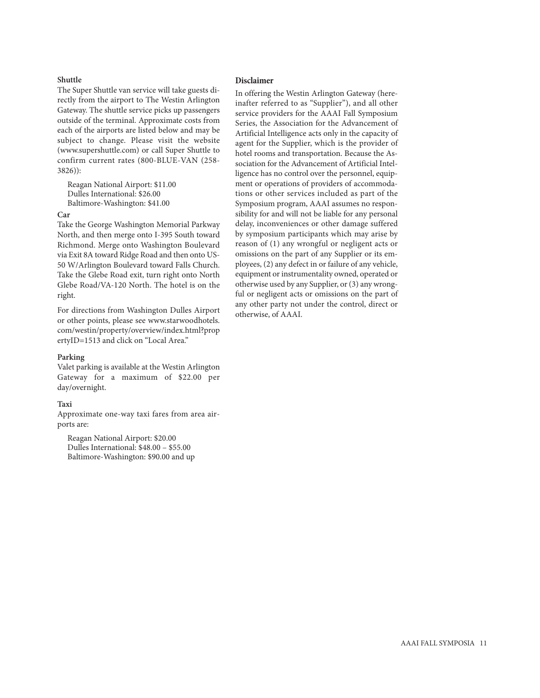## **Shuttle**

The Super Shuttle van service will take guests directly from the airport to The Westin Arlington Gateway. The shuttle service picks up passengers outside of the terminal. Approximate costs from each of the airports are listed below and may be subject to change. Please visit the website (www.supershuttle.com) or call Super Shuttle to confirm current rates (800-BLUE-VAN (258- 3826)):

Reagan National Airport: \$11.00 Dulles International: \$26.00 Baltimore-Washington: \$41.00

## **Car**

Take the George Washington Memorial Parkway North, and then merge onto I-395 South toward Richmond. Merge onto Washington Boulevard via Exit 8A toward Ridge Road and then onto US-50 W/Arlington Boulevard toward Falls Church. Take the Glebe Road exit, turn right onto North Glebe Road/VA-120 North. The hotel is on the right.

For directions from Washington Dulles Airport or other points, please see www.starwoodhotels. com/westin/property/overview/index.html?prop ertyID=1513 and click on "Local Area."

## **Parking**

Valet parking is available at the Westin Arlington Gateway for a maximum of \$22.00 per day/overnight.

## **Taxi**

Approximate one-way taxi fares from area airports are:

Reagan National Airport: \$20.00 Dulles International: \$48.00 – \$55.00 Baltimore-Washington: \$90.00 and up

## **Disclaimer**

In offering the Westin Arlington Gateway (hereinafter referred to as "Supplier"), and all other service providers for the AAAI Fall Symposium Series, the Association for the Advancement of Artificial Intelligence acts only in the capacity of agent for the Supplier, which is the provider of hotel rooms and transportation. Because the Association for the Advancement of Artificial Intelligence has no control over the personnel, equipment or operations of providers of accommodations or other services included as part of the Symposium program, AAAI assumes no responsibility for and will not be liable for any personal delay, inconveniences or other damage suffered by symposium participants which may arise by reason of (1) any wrongful or negligent acts or omissions on the part of any Supplier or its employees, (2) any defect in or failure of any vehicle, equipment or instrumentality owned, operated or otherwise used by any Supplier, or (3) any wrongful or negligent acts or omissions on the part of any other party not under the control, direct or otherwise, of AAAI.